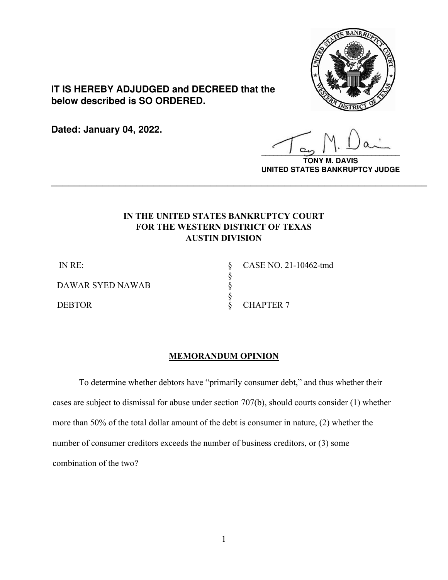

**IT IS HEREBY ADJUDGED and DECREED that the below described is SO ORDERED.**

**Dated: January 04, 2022.**

**\_\_\_\_\_\_\_\_\_\_\_\_\_\_\_\_\_\_\_\_\_\_\_\_\_\_\_\_\_\_\_\_\_\_**

**TONY M. DAVIS UNITED STATES BANKRUPTCY JUDGE**

## **IN THE UNITED STATES BANKRUPTCY COURT FOR THE WESTERN DISTRICT OF TEXAS AUSTIN DIVISION**

**\_\_\_\_\_\_\_\_\_\_\_\_\_\_\_\_\_\_\_\_\_\_\_\_\_\_\_\_\_\_\_\_\_\_\_\_\_\_\_\_\_\_\_\_\_\_\_\_\_\_\_\_\_\_\_\_\_\_\_\_\_\_\_\_\_\_**

§

IN RE:

DAWAR SYED NAWAB

§ § CASE NO. 21-10462-tmd § DEBTOR § CHAPTER 7

### **MEMORANDUM OPINION**

 To determine whether debtors have "primarily consumer debt," and thus whether their cases are subject to dismissal for abuse under section 707(b), should courts consider (1) whether more than 50% of the total dollar amount of the debt is consumer in nature, (2) whether the number of consumer creditors exceeds the number of business creditors, or (3) some combination of the two?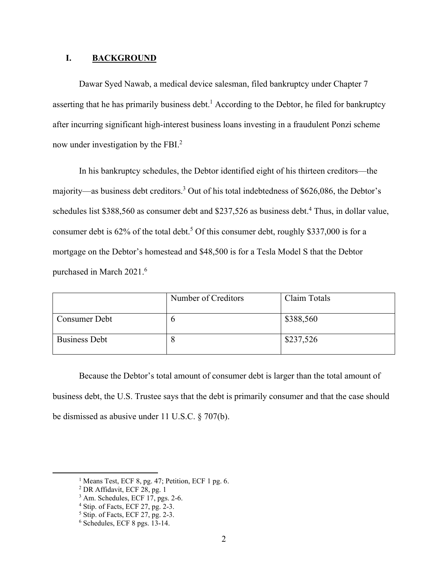#### **I. BACKGROUND**

Dawar Syed Nawab, a medical device salesman, filed bankruptcy under Chapter 7 asserting that he has primarily business debt.<sup>1</sup> According to the Debtor, he filed for bankruptcy after incurring significant high-interest business loans investing in a fraudulent Ponzi scheme now under investigation by the FBI. $<sup>2</sup>$ </sup>

In his bankruptcy schedules, the Debtor identified eight of his thirteen creditors—the majority—as business debt creditors.<sup>3</sup> Out of his total indebtedness of \$626,086, the Debtor's schedules list \$388,560 as consumer debt and \$237,526 as business debt.<sup>4</sup> Thus, in dollar value, consumer debt is  $62\%$  of the total debt.<sup>5</sup> Of this consumer debt, roughly \$337,000 is for a mortgage on the Debtor's homestead and \$48,500 is for a Tesla Model S that the Debtor purchased in March 2021.<sup>6</sup>

|                      | Number of Creditors | Claim Totals |
|----------------------|---------------------|--------------|
| Consumer Debt        |                     | \$388,560    |
| <b>Business Debt</b> |                     | \$237,526    |

Because the Debtor's total amount of consumer debt is larger than the total amount of business debt, the U.S. Trustee says that the debt is primarily consumer and that the case should be dismissed as abusive under 11 U.S.C. § 707(b).

<sup>&</sup>lt;sup>1</sup> Means Test, ECF 8, pg. 47; Petition, ECF 1 pg. 6.

<sup>2</sup> DR Affidavit, ECF 28, pg. 1

<sup>3</sup> Am. Schedules, ECF 17, pgs. 2-6.

<sup>4</sup> Stip. of Facts, ECF 27, pg. 2-3.

<sup>5</sup> Stip. of Facts, ECF 27, pg. 2-3.

<sup>6</sup> Schedules, ECF 8 pgs. 13-14.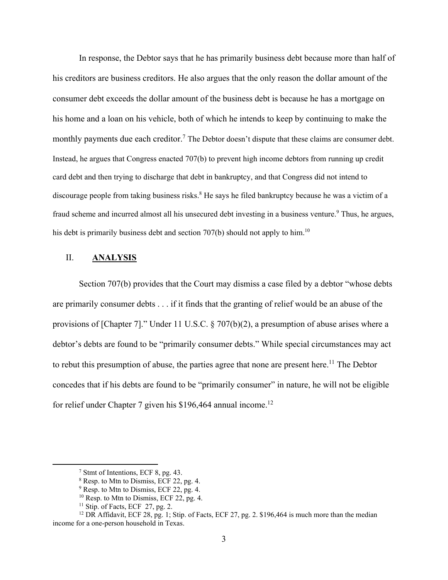In response, the Debtor says that he has primarily business debt because more than half of his creditors are business creditors. He also argues that the only reason the dollar amount of the consumer debt exceeds the dollar amount of the business debt is because he has a mortgage on his home and a loan on his vehicle, both of which he intends to keep by continuing to make the monthly payments due each creditor.<sup>7</sup> The Debtor doesn't dispute that these claims are consumer debt. Instead, he argues that Congress enacted 707(b) to prevent high income debtors from running up credit card debt and then trying to discharge that debt in bankruptcy, and that Congress did not intend to discourage people from taking business risks.<sup>8</sup> He says he filed bankruptcy because he was a victim of a fraud scheme and incurred almost all his unsecured debt investing in a business venture.<sup>9</sup> Thus, he argues, his debt is primarily business debt and section  $707(b)$  should not apply to him.<sup>10</sup>

#### II. **ANALYSIS**

Section 707(b) provides that the Court may dismiss a case filed by a debtor "whose debts are primarily consumer debts . . . if it finds that the granting of relief would be an abuse of the provisions of [Chapter 7]." Under 11 U.S.C. § 707(b)(2), a presumption of abuse arises where a debtor's debts are found to be "primarily consumer debts." While special circumstances may act to rebut this presumption of abuse, the parties agree that none are present here.<sup>11</sup> The Debtor concedes that if his debts are found to be "primarily consumer" in nature, he will not be eligible for relief under Chapter 7 given his  $$196,464$  annual income.<sup>12</sup>

<sup>7</sup> Stmt of Intentions, ECF 8, pg. 43.

<sup>8</sup> Resp. to Mtn to Dismiss, ECF 22, pg. 4.

 $9^9$  Resp. to Mtn to Dismiss, ECF 22, pg. 4.

 $10$  Resp. to Mtn to Dismiss, ECF 22, pg. 4.

 $11$  Stip. of Facts, ECF 27, pg. 2.

<sup>&</sup>lt;sup>12</sup> DR Affidavit, ECF 28, pg. 1; Stip. of Facts, ECF 27, pg. 2. \$196,464 is much more than the median income for a one-person household in Texas.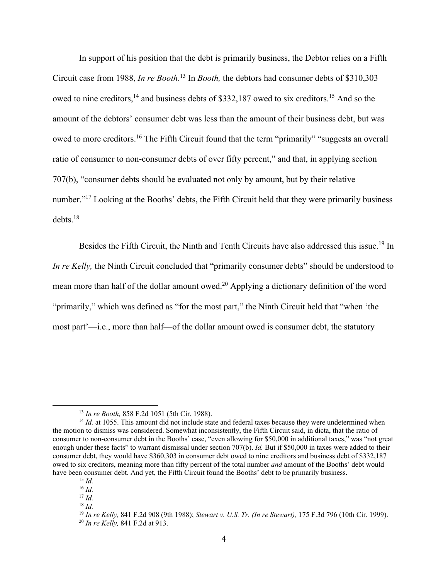In support of his position that the debt is primarily business, the Debtor relies on a Fifth Circuit case from 1988, *In re Booth*. 13 In *Booth,* the debtors had consumer debts of \$310,303 owed to nine creditors,  $^{14}$  and business debts of \$332,187 owed to six creditors.<sup>15</sup> And so the amount of the debtors' consumer debt was less than the amount of their business debt, but was owed to more creditors.<sup>16</sup> The Fifth Circuit found that the term "primarily" "suggests an overall ratio of consumer to non-consumer debts of over fifty percent," and that, in applying section 707(b), "consumer debts should be evaluated not only by amount, but by their relative number."<sup>17</sup> Looking at the Booths' debts, the Fifth Circuit held that they were primarily business debts.18

Besides the Fifth Circuit, the Ninth and Tenth Circuits have also addressed this issue.<sup>19</sup> In *In re Kelly,* the Ninth Circuit concluded that "primarily consumer debts" should be understood to mean more than half of the dollar amount owed.<sup>20</sup> Applying a dictionary definition of the word "primarily," which was defined as "for the most part," the Ninth Circuit held that "when 'the most part'—i.e., more than half—of the dollar amount owed is consumer debt, the statutory

<sup>&</sup>lt;sup>13</sup> *In re Booth*, 858 F.2d 1051 (5th Cir. 1988).<br><sup>14</sup> *Id.* at 1055. This amount did not include state and federal taxes because they were undetermined when the motion to dismiss was considered. Somewhat inconsistently, the Fifth Circuit said, in dicta, that the ratio of consumer to non-consumer debt in the Booths' case, "even allowing for \$50,000 in additional taxes," was "not great enough under these facts" to warrant dismissal under section 707(b). *Id.* But if \$50,000 in taxes were added to their consumer debt, they would have \$360,303 in consumer debt owed to nine creditors and business debt of \$332,187 owed to six creditors, meaning more than fifty percent of the total number *and* amount of the Booths' debt would have been consumer debt. And yet, the Fifth Circuit found the Booths' debt to be primarily business. 15 *Id.*

<sup>16</sup> *Id.*

<sup>17</sup> *Id.*

 $18$  *Id*.

<sup>19</sup> *In re Kelly,* 841 F.2d 908 (9th 1988); *Stewart v. U.S. Tr. (In re Stewart),* 175 F.3d 796 (10th Cir. 1999). 20 *In re Kelly,* 841 F.2d at 913.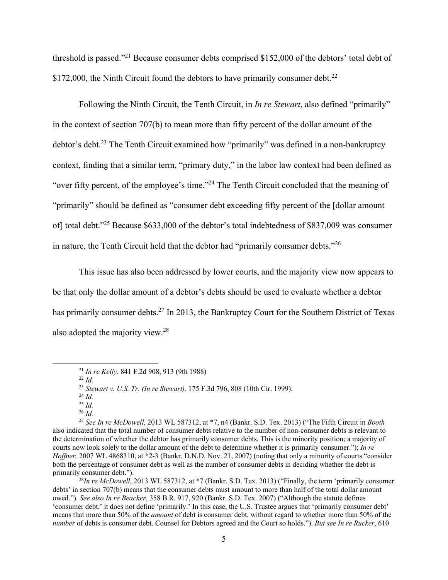threshold is passed."21 Because consumer debts comprised \$152,000 of the debtors' total debt of \$172,000, the Ninth Circuit found the debtors to have primarily consumer debt.<sup>22</sup>

Following the Ninth Circuit, the Tenth Circuit, in *In re Stewart*, also defined "primarily" in the context of section 707(b) to mean more than fifty percent of the dollar amount of the debtor's debt.<sup>23</sup> The Tenth Circuit examined how "primarily" was defined in a non-bankruptcy context, finding that a similar term, "primary duty," in the labor law context had been defined as "over fifty percent, of the employee's time."24 The Tenth Circuit concluded that the meaning of "primarily" should be defined as "consumer debt exceeding fifty percent of the [dollar amount of] total debt."25 Because \$633,000 of the debtor's total indebtedness of \$837,009 was consumer in nature, the Tenth Circuit held that the debtor had "primarily consumer debts."<sup>26</sup>

This issue has also been addressed by lower courts, and the majority view now appears to be that only the dollar amount of a debtor's debts should be used to evaluate whether a debtor has primarily consumer debts.<sup>27</sup> In 2013, the Bankruptcy Court for the Southern District of Texas also adopted the majority view.28

debts' in section 707(b) means that the consumer debts must amount to more than half of the total dollar amount owed."). *See also In re Beacher*, 358 B.R. 917, 920 (Bankr. S.D. Tex. 2007) ("Although the statute defines 'consumer debt,' it does not define 'primarily.' In this case, the U.S. Trustee argues that 'primarily consumer debt' means that more than 50% of the *amount* of debt is consumer debt, without regard to whether more than 50% of the *number* of debts is consumer debt. Counsel for Debtors agreed and the Court so holds."). *But see In re Rucker*, 610

<sup>21</sup> *In re Kelly,* 841 F.2d 908, 913 (9th 1988) 22 *Id.*

<sup>23</sup> *Stewart v. U.S. Tr. (In re Stewart),* 175 F.3d 796, 808 (10th Cir. 1999). 24 *Id.*

<sup>25</sup> *Id.*

<sup>26</sup> *Id.*

<sup>27</sup> *See In re McDowell*, 2013 WL 587312, at \*7, n4 (Bankr. S.D. Tex. 2013) ("The Fifth Circuit in *Booth* also indicated that the total number of consumer debts relative to the number of non-consumer debts is relevant to the determination of whether the debtor has primarily consumer debts. This is the minority position; a majority of courts now look solely to the dollar amount of the debt to determine whether it is primarily consumer."); *In re Hoffner,* 2007 WL 4868310, at \*2-3 (Bankr. D.N.D. Nov. 21, 2007) (noting that only a minority of courts "consider both the percentage of consumer debt as well as the number of consumer debts in deciding whether the debt is primarily consumer debt.").<br><sup>28</sup>*In re McDowell*, 2013 WL 587312, at \*7 (Bankr. S.D. Tex. 2013) ("Finally, the term 'primarily consumer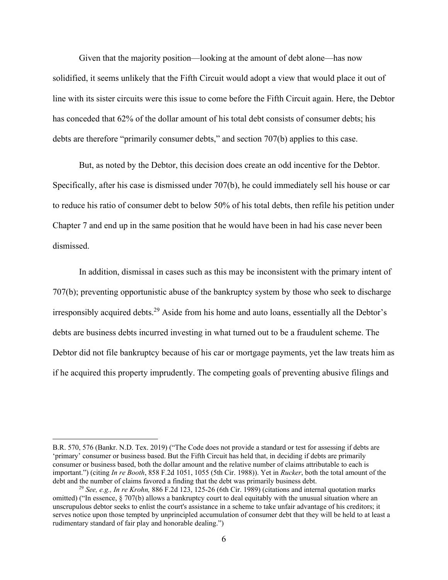Given that the majority position—looking at the amount of debt alone—has now solidified, it seems unlikely that the Fifth Circuit would adopt a view that would place it out of line with its sister circuits were this issue to come before the Fifth Circuit again. Here, the Debtor has conceded that 62% of the dollar amount of his total debt consists of consumer debts; his debts are therefore "primarily consumer debts," and section 707(b) applies to this case.

But, as noted by the Debtor, this decision does create an odd incentive for the Debtor. Specifically, after his case is dismissed under 707(b), he could immediately sell his house or car to reduce his ratio of consumer debt to below 50% of his total debts, then refile his petition under Chapter 7 and end up in the same position that he would have been in had his case never been dismissed.

In addition, dismissal in cases such as this may be inconsistent with the primary intent of 707(b); preventing opportunistic abuse of the bankruptcy system by those who seek to discharge irresponsibly acquired debts.<sup>29</sup> Aside from his home and auto loans, essentially all the Debtor's debts are business debts incurred investing in what turned out to be a fraudulent scheme. The Debtor did not file bankruptcy because of his car or mortgage payments, yet the law treats him as if he acquired this property imprudently. The competing goals of preventing abusive filings and

B.R. 570, 576 (Bankr. N.D. Tex. 2019) ("The Code does not provide a standard or test for assessing if debts are 'primary' consumer or business based. But the Fifth Circuit has held that, in deciding if debts are primarily consumer or business based, both the dollar amount and the relative number of claims attributable to each is important.") (citing *In re Booth*, 858 F.2d 1051, 1055 (5th Cir. 1988)). Yet in *Rucker*, both the total amount of the

<sup>&</sup>lt;sup>29</sup> *See, e.g., In re Krohn,* 886 F.2d 123, 125-26 (6th Cir. 1989) (citations and internal quotation marks omitted) ("In essence, § 707(b) allows a bankruptcy court to deal equitably with the unusual situation where an unscrupulous debtor seeks to enlist the court's assistance in a scheme to take unfair advantage of his creditors; it serves notice upon those tempted by unprincipled accumulation of consumer debt that they will be held to at least a rudimentary standard of fair play and honorable dealing.")